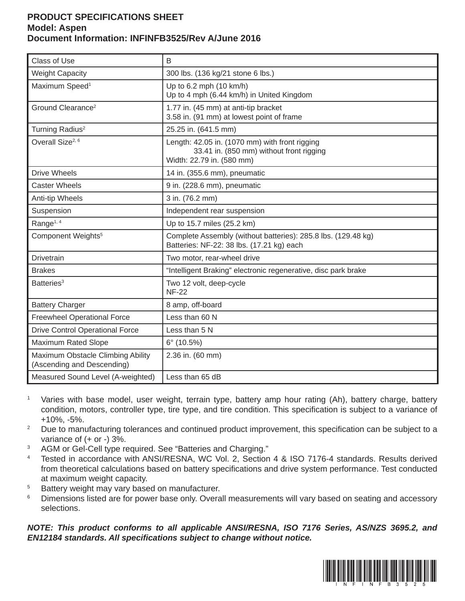## **PRODUCT SPECIFICATIONS SHEET Model: Aspen Document Information: INFINFB3525/Rev A/June 2016**

| <b>Class of Use</b>                                             | B                                                                                                                       |
|-----------------------------------------------------------------|-------------------------------------------------------------------------------------------------------------------------|
| <b>Weight Capacity</b>                                          | 300 lbs. (136 kg/21 stone 6 lbs.)                                                                                       |
| Maximum Speed <sup>1</sup>                                      | Up to 6.2 mph (10 km/h)<br>Up to 4 mph (6.44 km/h) in United Kingdom                                                    |
| Ground Clearance <sup>2</sup>                                   | 1.77 in. (45 mm) at anti-tip bracket<br>3.58 in. (91 mm) at lowest point of frame                                       |
| Turning Radius <sup>2</sup>                                     | 25.25 in. (641.5 mm)                                                                                                    |
| Overall Size <sup>2, 6</sup>                                    | Length: 42.05 in. (1070 mm) with front rigging<br>33.41 in. (850 mm) without front rigging<br>Width: 22.79 in. (580 mm) |
| <b>Drive Wheels</b>                                             | 14 in. (355.6 mm), pneumatic                                                                                            |
| <b>Caster Wheels</b>                                            | 9 in. (228.6 mm), pneumatic                                                                                             |
| Anti-tip Wheels                                                 | 3 in. (76.2 mm)                                                                                                         |
| Suspension                                                      | Independent rear suspension                                                                                             |
| Range <sup>1, 4</sup>                                           | Up to 15.7 miles (25.2 km)                                                                                              |
| Component Weights <sup>5</sup>                                  | Complete Assembly (without batteries): 285.8 lbs. (129.48 kg)<br>Batteries: NF-22: 38 lbs. (17.21 kg) each              |
| <b>Drivetrain</b>                                               | Two motor, rear-wheel drive                                                                                             |
| <b>Brakes</b>                                                   | "Intelligent Braking" electronic regenerative, disc park brake                                                          |
| Batteries <sup>3</sup>                                          | Two 12 volt, deep-cycle<br><b>NF-22</b>                                                                                 |
| <b>Battery Charger</b>                                          | 8 amp, off-board                                                                                                        |
| <b>Freewheel Operational Force</b>                              | Less than 60 N                                                                                                          |
| <b>Drive Control Operational Force</b>                          | Less than 5 N                                                                                                           |
| <b>Maximum Rated Slope</b>                                      | $6^{\circ}$ (10.5%)                                                                                                     |
| Maximum Obstacle Climbing Ability<br>(Ascending and Descending) | 2.36 in. (60 mm)                                                                                                        |
| Measured Sound Level (A-weighted)                               | Less than 65 dB                                                                                                         |

- 1 Varies with base model, user weight, terrain type, battery amp hour rating (Ah), battery charge, battery condition, motors, controller type, tire type, and tire condition. This specification is subject to a variance of +10%, -5%.
- <sup>2</sup> Due to manufacturing tolerances and continued product improvement, this specification can be subject to a variance of (+ or -) 3%.
- 3 AGM or Gel-Cell type required. See "Batteries and Charging."
- 4 Tested in accordance with ANSI/RESNA, WC Vol. 2, Section 4 & ISO 7176-4 standards. Results derived from theoretical calculations based on battery specifications and drive system performance. Test conducted at maximum weight capacity.
- 5 Battery weight may vary based on manufacturer.
- 6 Dimensions listed are for power base only. Overall measurements will vary based on seating and accessory selections.

*NOTE: This product conforms to all applicable ANSI/RESNA, ISO 7176 Series, AS/NZS 3695.2, and*  **EN12184 standards. All specifications subject to change without notice.**